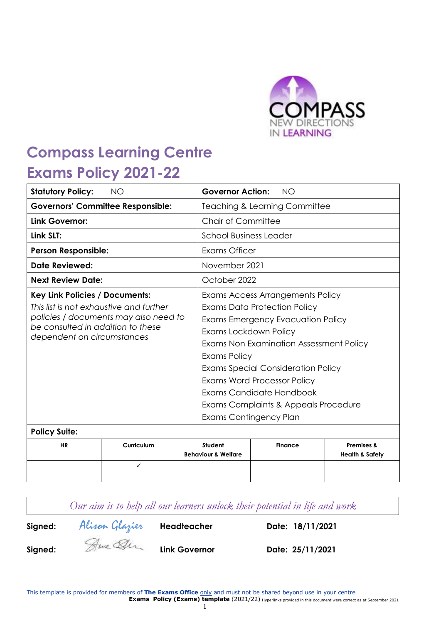

# **Compass Learning Centre Exams Policy 2021-22**

| <b>Statutory Policy:</b>                                                                                                                            | <b>NO</b>                                |                                                                                                                                                                                                                                                                                                                                 | <b>Governor Action:</b>                          | <b>NO</b>      |                                                     |
|-----------------------------------------------------------------------------------------------------------------------------------------------------|------------------------------------------|---------------------------------------------------------------------------------------------------------------------------------------------------------------------------------------------------------------------------------------------------------------------------------------------------------------------------------|--------------------------------------------------|----------------|-----------------------------------------------------|
|                                                                                                                                                     | <b>Governors' Committee Responsible:</b> |                                                                                                                                                                                                                                                                                                                                 | <b>Teaching &amp; Learning Committee</b>         |                |                                                     |
| Link Governor:                                                                                                                                      |                                          |                                                                                                                                                                                                                                                                                                                                 | <b>Chair of Committee</b>                        |                |                                                     |
| Link SLT:                                                                                                                                           |                                          |                                                                                                                                                                                                                                                                                                                                 | School Business Leader                           |                |                                                     |
| <b>Person Responsible:</b>                                                                                                                          |                                          |                                                                                                                                                                                                                                                                                                                                 | Exams Officer                                    |                |                                                     |
| Date Reviewed:                                                                                                                                      |                                          | November 2021                                                                                                                                                                                                                                                                                                                   |                                                  |                |                                                     |
| <b>Next Review Date:</b>                                                                                                                            |                                          | October 2022                                                                                                                                                                                                                                                                                                                    |                                                  |                |                                                     |
| Key Link Policies / Documents:                                                                                                                      |                                          | Exams Access Arrangements Policy                                                                                                                                                                                                                                                                                                |                                                  |                |                                                     |
| This list is not exhaustive and further<br>policies / documents may also need to<br>be consulted in addition to these<br>dependent on circumstances |                                          | Exams Data Protection Policy<br>Exams Emergency Evacuation Policy<br>Exams Lockdown Policy<br>Exams Non Examination Assessment Policy<br>Exams Policy<br><b>Exams Special Consideration Policy</b><br>Exams Word Processor Policy<br>Exams Candidate Handbook<br>Exams Complaints & Appeals Procedure<br>Exams Contingency Plan |                                                  |                |                                                     |
| <b>Policy Suite:</b>                                                                                                                                |                                          |                                                                                                                                                                                                                                                                                                                                 |                                                  |                |                                                     |
| <b>HR</b>                                                                                                                                           | Curriculum                               |                                                                                                                                                                                                                                                                                                                                 | <b>Student</b><br><b>Behaviour &amp; Welfare</b> | <b>Finance</b> | <b>Premises &amp;</b><br><b>Health &amp; Safety</b> |
|                                                                                                                                                     | ✓                                        |                                                                                                                                                                                                                                                                                                                                 |                                                  |                |                                                     |

**Signed:** Alison Glazier **Headteacher Date: 18/11/2021**

**Signed: Link Governor Date: 25/11/2021**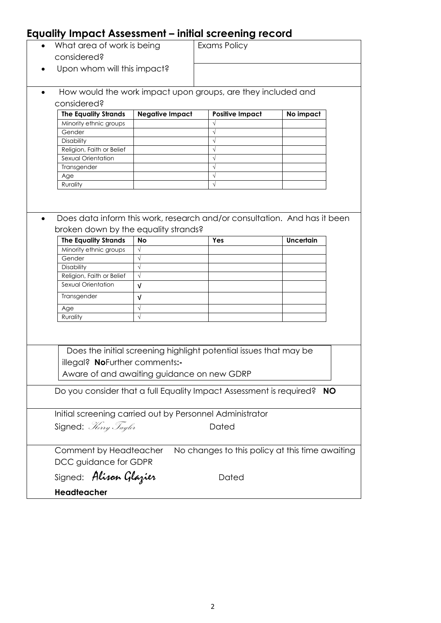# **Equality Impact Assessment – initial screening record**

|           | What area of work is being                                          |                        | Exams Policy                                                              |           |           |
|-----------|---------------------------------------------------------------------|------------------------|---------------------------------------------------------------------------|-----------|-----------|
|           | considered?                                                         |                        |                                                                           |           |           |
|           | Upon whom will this impact?                                         |                        |                                                                           |           |           |
|           |                                                                     |                        |                                                                           |           |           |
|           |                                                                     |                        |                                                                           |           |           |
| $\bullet$ |                                                                     |                        | How would the work impact upon groups, are they included and              |           |           |
|           | considered?                                                         |                        |                                                                           |           |           |
|           | <b>The Equality Strands</b>                                         | <b>Negative Impact</b> | <b>Positive Impact</b>                                                    | No impact |           |
|           | Minority ethnic groups                                              |                        |                                                                           |           |           |
|           | Gender                                                              |                        | $\sqrt{ }$                                                                |           |           |
|           | <b>Disability</b>                                                   |                        | $\sqrt{}$                                                                 |           |           |
|           | Religion, Faith or Belief                                           |                        | $\sqrt{ }$                                                                |           |           |
|           | Sexual Orientation                                                  |                        |                                                                           |           |           |
|           | Transgender                                                         |                        | $\sqrt{ }$                                                                |           |           |
|           | Age                                                                 |                        | $\sqrt{ }$                                                                |           |           |
|           | Rurality                                                            |                        | $\sqrt{ }$                                                                |           |           |
|           |                                                                     |                        |                                                                           |           |           |
|           |                                                                     |                        |                                                                           |           |           |
|           |                                                                     |                        |                                                                           |           |           |
|           |                                                                     |                        | Does data inform this work, research and/or consultation. And has it been |           |           |
|           | broken down by the equality strands?                                |                        |                                                                           |           |           |
|           | <b>The Equality Strands</b>                                         | <b>No</b>              | Yes                                                                       | Uncertain |           |
|           | Minority ethnic groups                                              | $\sqrt{}$              |                                                                           |           |           |
|           | Gender                                                              | $\sqrt{}$              |                                                                           |           |           |
|           | Disability                                                          | $\sqrt{}$              |                                                                           |           |           |
|           | Religion, Faith or Belief                                           | $\sqrt{ }$             |                                                                           |           |           |
|           | Sexual Orientation                                                  | V                      |                                                                           |           |           |
|           |                                                                     |                        |                                                                           |           |           |
|           | Transgender                                                         | $\sqrt{ }$             |                                                                           |           |           |
|           | Age                                                                 | $\sqrt{}$              |                                                                           |           |           |
|           | Rurality                                                            | $\sqrt{ }$             |                                                                           |           |           |
|           |                                                                     |                        |                                                                           |           |           |
|           |                                                                     |                        |                                                                           |           |           |
|           |                                                                     |                        |                                                                           |           |           |
|           |                                                                     |                        | Does the initial screening highlight potential issues that may be         |           |           |
|           | illegal? NoFurther comments:-                                       |                        |                                                                           |           |           |
|           | Aware of and awaiting guidance on new GDRP                          |                        |                                                                           |           |           |
|           |                                                                     |                        |                                                                           |           |           |
|           | Do you consider that a full Equality Impact Assessment is required? |                        |                                                                           |           | <b>NO</b> |
|           |                                                                     |                        |                                                                           |           |           |
|           |                                                                     |                        |                                                                           |           |           |
|           | Initial screening carried out by Personnel Administrator            |                        |                                                                           |           |           |
|           | Signed: Herry Taylor                                                |                        | Dated                                                                     |           |           |
|           |                                                                     |                        |                                                                           |           |           |
|           |                                                                     |                        |                                                                           |           |           |
|           | Comment by Headteacher                                              |                        | No changes to this policy at this time awaiting                           |           |           |
|           | DCC guidance for GDPR                                               |                        |                                                                           |           |           |
|           |                                                                     |                        |                                                                           |           |           |
|           | Signed: Alisan Glazier                                              |                        | Dated                                                                     |           |           |
|           | Headteacher                                                         |                        |                                                                           |           |           |
|           |                                                                     |                        |                                                                           |           |           |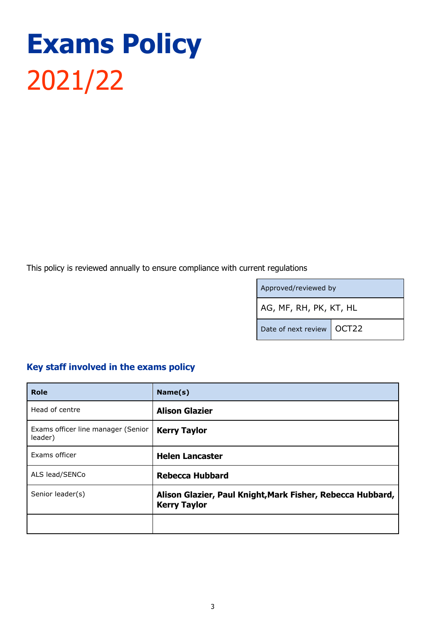# **Exams Policy** 2021/22

This policy is reviewed annually to ensure compliance with current regulations

| Approved/reviewed by        |  |
|-----------------------------|--|
| AG, MF, RH, PK, KT, HL      |  |
| Date of next review   OCT22 |  |

# <span id="page-2-0"></span>**Key staff involved in the exams policy**

| <b>Role</b>                                   | Name(s)                                                                           |
|-----------------------------------------------|-----------------------------------------------------------------------------------|
| Head of centre                                | <b>Alison Glazier</b>                                                             |
| Exams officer line manager (Senior<br>leader) | <b>Kerry Taylor</b>                                                               |
| Exams officer                                 | <b>Helen Lancaster</b>                                                            |
| ALS lead/SENCo                                | <b>Rebecca Hubbard</b>                                                            |
| Senior leader(s)                              | Alison Glazier, Paul Knight, Mark Fisher, Rebecca Hubbard,<br><b>Kerry Taylor</b> |
|                                               |                                                                                   |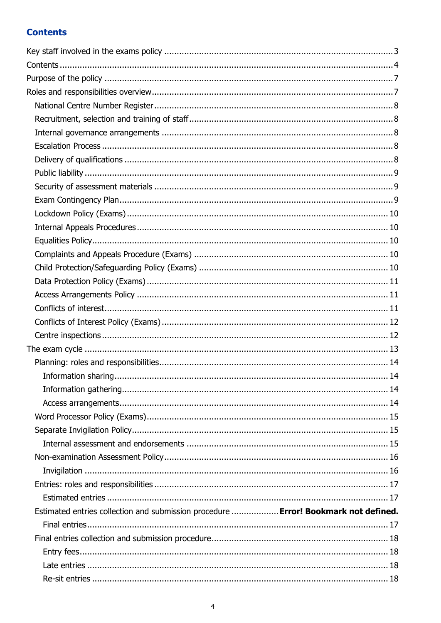# <span id="page-3-0"></span>**Contents**

| Estimated entries collection and submission procedure  Error! Bookmark not defined. |  |
|-------------------------------------------------------------------------------------|--|
|                                                                                     |  |
|                                                                                     |  |
|                                                                                     |  |
|                                                                                     |  |
|                                                                                     |  |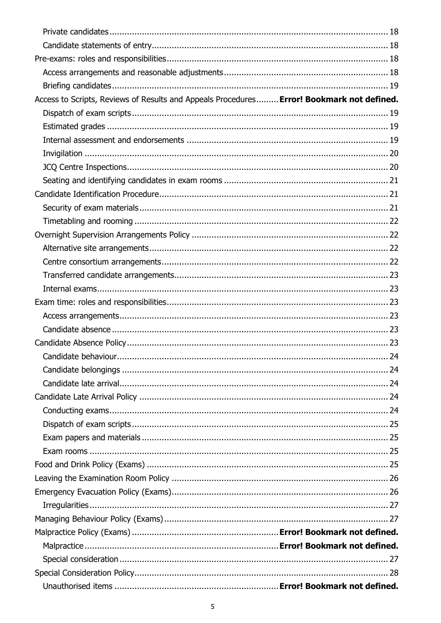| Access to Scripts, Reviews of Results and Appeals Procedures Error! Bookmark not defined. |  |
|-------------------------------------------------------------------------------------------|--|
|                                                                                           |  |
|                                                                                           |  |
|                                                                                           |  |
|                                                                                           |  |
|                                                                                           |  |
|                                                                                           |  |
|                                                                                           |  |
|                                                                                           |  |
|                                                                                           |  |
|                                                                                           |  |
|                                                                                           |  |
|                                                                                           |  |
|                                                                                           |  |
|                                                                                           |  |
|                                                                                           |  |
|                                                                                           |  |
|                                                                                           |  |
|                                                                                           |  |
|                                                                                           |  |
|                                                                                           |  |
|                                                                                           |  |
|                                                                                           |  |
|                                                                                           |  |
|                                                                                           |  |
|                                                                                           |  |
|                                                                                           |  |
|                                                                                           |  |
|                                                                                           |  |
|                                                                                           |  |
|                                                                                           |  |
|                                                                                           |  |
|                                                                                           |  |
|                                                                                           |  |
|                                                                                           |  |
|                                                                                           |  |
|                                                                                           |  |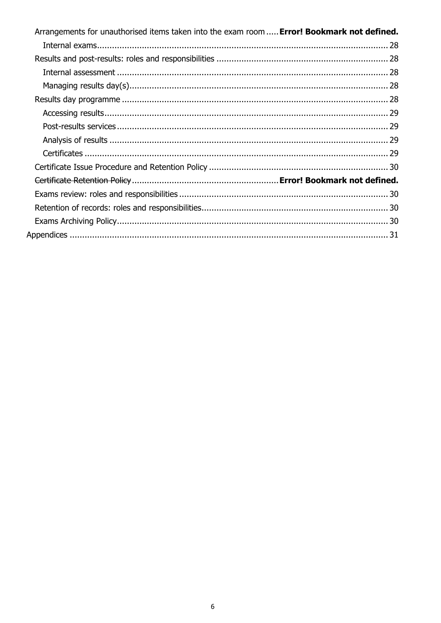| Arrangements for unauthorised items taken into the exam room  Error! Bookmark not defined. |  |
|--------------------------------------------------------------------------------------------|--|
|                                                                                            |  |
|                                                                                            |  |
|                                                                                            |  |
|                                                                                            |  |
|                                                                                            |  |
|                                                                                            |  |
|                                                                                            |  |
|                                                                                            |  |
|                                                                                            |  |
|                                                                                            |  |
|                                                                                            |  |
|                                                                                            |  |
|                                                                                            |  |
|                                                                                            |  |
|                                                                                            |  |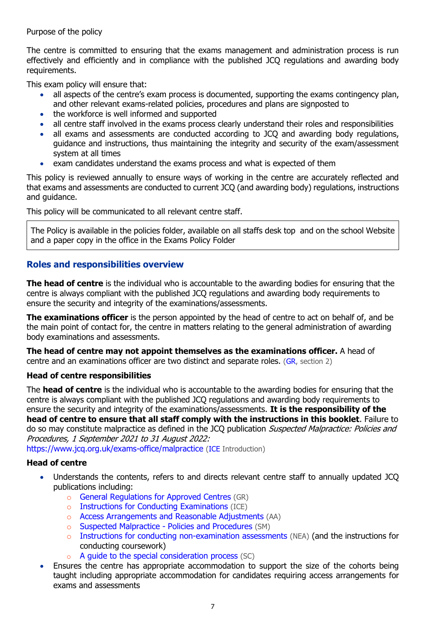#### <span id="page-6-0"></span>Purpose of the policy

The centre is committed to ensuring that the exams management and administration process is run effectively and efficiently and in compliance with the published JCQ regulations and awarding body requirements.

This exam policy will ensure that:

- all aspects of the centre's exam process is documented, supporting the exams contingency plan, and other relevant exams-related policies, procedures and plans are signposted to
- the workforce is well informed and supported
- all centre staff involved in the exams process clearly understand their roles and responsibilities
- all exams and assessments are conducted according to JCQ and awarding body regulations, guidance and instructions, thus maintaining the integrity and security of the exam/assessment system at all times
- exam candidates understand the exams process and what is expected of them

This policy is reviewed annually to ensure ways of working in the centre are accurately reflected and that exams and assessments are conducted to current JCQ (and awarding body) regulations, instructions and guidance.

This policy will be communicated to all relevant centre staff.

The Policy is available in the policies folder, available on all staffs desk top and on the school Website and a paper copy in the office in the Exams Policy Folder

# <span id="page-6-1"></span>**Roles and responsibilities overview**

**The head of centre** is the individual who is accountable to the awarding bodies for ensuring that the centre is always compliant with the published JCQ regulations and awarding body requirements to ensure the security and integrity of the examinations/assessments.

**The examinations officer** is the person appointed by the head of centre to act on behalf of, and be the main point of contact for, the centre in matters relating to the general administration of awarding body examinations and assessments.

**The head of centre may not appoint themselves as the examinations officer.** A head of centre and an examinations officer are two distinct and separate roles. [\(GR,](http://www.jcq.org.uk/exams-office/general-regulations) section 2)

#### **Head of centre responsibilities**

The **head of centre** is the individual who is accountable to the awarding bodies for ensuring that the centre is always compliant with the published JCQ regulations and awarding body requirements to ensure the security and integrity of the examinations/assessments. **It is the responsibility of the head of centre to ensure that all staff comply with the instructions in this booklet**. Failure to do so may constitute malpractice as defined in the JCQ publication Suspected Malpractice: Policies and Procedures, 1 September 2021 to 31 August 2022:

<https://www.jcq.org.uk/exams-office/malpractice> [\(ICE](http://www.jcq.org.uk/exams-office/ice---instructions-for-conducting-examinations) Introduction)

# **Head of centre**

- Understands the contents, refers to and directs relevant centre staff to annually updated JCQ publications including:
	- o [General Regulations for Approved Centres](http://www.jcq.org.uk/exams-office/general-regulations) (GR)
	- o [Instructions for Conducting Examinations](http://www.jcq.org.uk/exams-office/ice---instructions-for-conducting-examinations) (ICE)
	- o [Access Arrangements and Reasonable Adjustments](http://www.jcq.org.uk/exams-office/access-arrangements-and-special-consideration/regulations-and-guidance) (AA)
	- o [Suspected Malpractice -](http://www.jcq.org.uk/exams-office/malpractice) Policies and Procedures (SM)
	- o [Instructions for conducting non-examination assessments](http://www.jcq.org.uk/exams-office/non-examination-assessments) (NEA) (and the instructions for conducting coursework)
	- A quide to the special consideration process (SC)
- Ensures the centre has appropriate accommodation to support the size of the cohorts being taught including appropriate accommodation for candidates requiring access arrangements for exams and assessments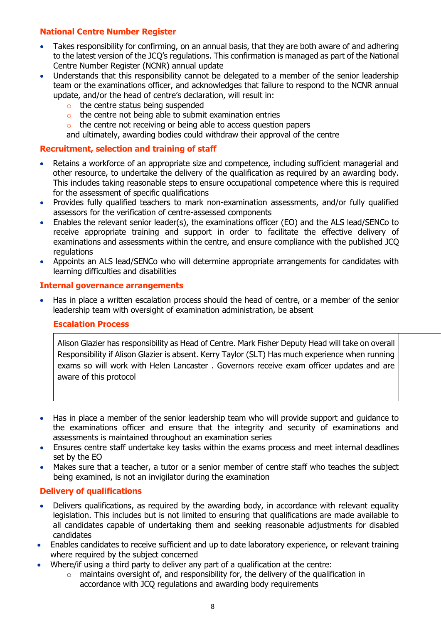# <span id="page-7-0"></span>**National Centre Number Register**

- Takes responsibility for confirming, on an annual basis, that they are both aware of and adhering to the latest version of the JCQ's regulations. This confirmation is managed as part of the National Centre Number Register (NCNR) annual update
- Understands that this responsibility cannot be delegated to a member of the senior leadership team or the examinations officer, and acknowledges that failure to respond to the NCNR annual update, and/or the head of centre's declaration, will result in:
	- o the centre status being suspended
	- o the centre not being able to submit examination entries
	- o the centre not receiving or being able to access question papers

and ultimately, awarding bodies could withdraw their approval of the centre

#### <span id="page-7-1"></span>**Recruitment, selection and training of staff**

- Retains a workforce of an appropriate size and competence, including sufficient managerial and other resource, to undertake the delivery of the qualification as required by an awarding body. This includes taking reasonable steps to ensure occupational competence where this is required for the assessment of specific qualifications
- Provides fully qualified teachers to mark non-examination assessments, and/or fully qualified assessors for the verification of centre-assessed components
- Enables the relevant senior leader(s), the examinations officer (EO) and the ALS lead/SENCo to receive appropriate training and support in order to facilitate the effective delivery of examinations and assessments within the centre, and ensure compliance with the published JCQ regulations
- Appoints an ALS lead/SENCo who will determine appropriate arrangements for candidates with learning difficulties and disabilities

#### <span id="page-7-2"></span>**Internal governance arrangements**

<span id="page-7-3"></span> Has in place a written escalation process should the head of centre, or a member of the senior leadership team with oversight of examination administration, be absent

#### **Escalation Process**

Alison Glazier has responsibility as Head of Centre. Mark Fisher Deputy Head will take on overall Responsibility if Alison Glazier is absent. Kerry Taylor (SLT) Has much experience when running exams so will work with Helen Lancaster . Governors receive exam officer updates and are aware of this protocol

- Has in place a member of the senior leadership team who will provide support and quidance to the examinations officer and ensure that the integrity and security of examinations and assessments is maintained throughout an examination series
- Ensures centre staff undertake key tasks within the exams process and meet internal deadlines set by the EO
- Makes sure that a teacher, a tutor or a senior member of centre staff who teaches the subject being examined, is not an invigilator during the examination

# <span id="page-7-4"></span>**Delivery of qualifications**

- Delivers qualifications, as required by the awarding body, in accordance with relevant equality legislation. This includes but is not limited to ensuring that qualifications are made available to all candidates capable of undertaking them and seeking reasonable adjustments for disabled candidates
- Enables candidates to receive sufficient and up to date laboratory experience, or relevant training where required by the subject concerned
- Where/if using a third party to deliver any part of a qualification at the centre:
	- $\circ$  maintains oversight of, and responsibility for, the delivery of the qualification in accordance with JCQ regulations and awarding body requirements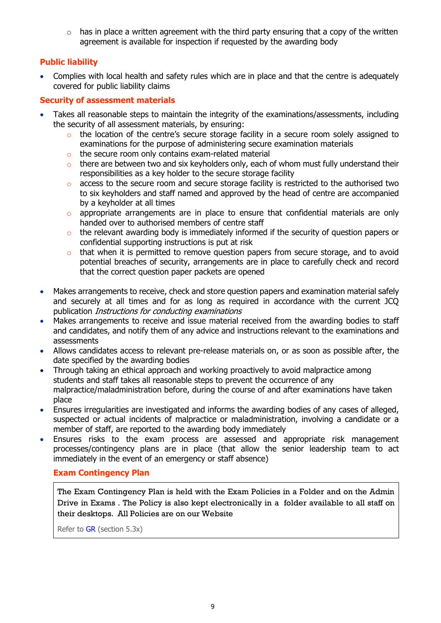$\circ$  has in place a written agreement with the third party ensuring that a copy of the written agreement is available for inspection if requested by the awarding body

# <span id="page-8-0"></span>**Public liability**

 Complies with local health and safety rules which are in place and that the centre is adequately covered for public liability claims

# <span id="page-8-1"></span>**Security of assessment materials**

- Takes all reasonable steps to maintain the integrity of the examinations/assessments, including the security of all assessment materials, by ensuring:
	- o the location of the centre's secure storage facility in a secure room solely assigned to examinations for the purpose of administering secure examination materials
	- o the secure room only contains exam-related material
	- $\circ$  there are between two and six keyholders only, each of whom must fully understand their responsibilities as a key holder to the secure storage facility
	- o access to the secure room and secure storage facility is restricted to the authorised two to six keyholders and staff named and approved by the head of centre are accompanied by a keyholder at all times
	- o appropriate arrangements are in place to ensure that confidential materials are only handed over to authorised members of centre staff
	- o the relevant awarding body is immediately informed if the security of question papers or confidential supporting instructions is put at risk
	- o that when it is permitted to remove question papers from secure storage, and to avoid potential breaches of security, arrangements are in place to carefully check and record that the correct question paper packets are opened
- Makes arrangements to receive, check and store question papers and examination material safely and securely at all times and for as long as required in accordance with the current JCQ publication Instructions for conducting examinations
- Makes arrangements to receive and issue material received from the awarding bodies to staff and candidates, and notify them of any advice and instructions relevant to the examinations and assessments
- Allows candidates access to relevant pre-release materials on, or as soon as possible after, the date specified by the awarding bodies
- Through taking an ethical approach and working proactively to avoid malpractice among students and staff takes all reasonable steps to prevent the occurrence of any malpractice/maladministration before, during the course of and after examinations have taken place
- Ensures irregularities are investigated and informs the awarding bodies of any cases of alleged, suspected or actual incidents of malpractice or maladministration, involving a candidate or a member of staff, are reported to the awarding body immediately
- Ensures risks to the exam process are assessed and appropriate risk management processes/contingency plans are in place (that allow the senior leadership team to act immediately in the event of an emergency or staff absence)

# <span id="page-8-2"></span>**Exam Contingency Plan**

The Exam Contingency Plan is held with the Exam Policies in a Folder and on the Admin Drive in Exams . The Policy is also kept electronically in a folder available to all staff on their desktops. All Policies are on our Website

Refer to [GR](http://www.jcq.org.uk/exams-office/general-regulations) (section 5.3x)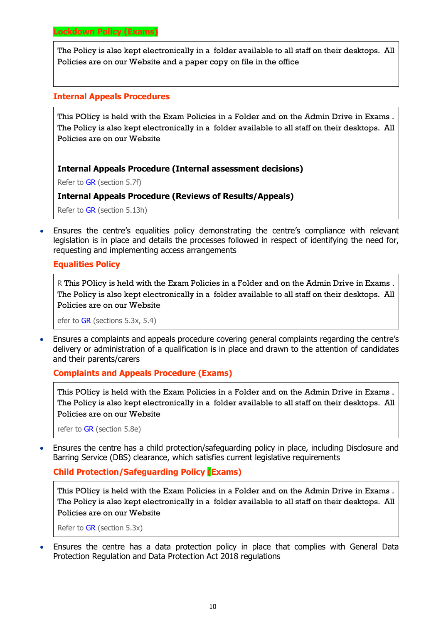<span id="page-9-0"></span>The Policy is also kept electronically in a folder available to all staff on their desktops. All Policies are on our Website and a paper copy on file in the office

#### <span id="page-9-1"></span>**Internal Appeals Procedures**

This POlicy is held with the Exam Policies in a Folder and on the Admin Drive in Exams . The Policy is also kept electronically in a folder available to all staff on their desktops. All Policies are on our Website

#### **Internal Appeals Procedure (Internal assessment decisions)**

Refer to [GR](http://www.jcq.org.uk/exams-office/general-regulations) (section 5.7f)

#### **Internal Appeals Procedure (Reviews of Results/Appeals)**

Refer to [GR](http://www.jcq.org.uk/exams-office/general-regulations) (section 5.13h)

 Ensures the centre's equalities policy demonstrating the centre's compliance with relevant legislation is in place and details the processes followed in respect of identifying the need for, requesting and implementing access arrangements

#### <span id="page-9-2"></span>**Equalities Policy**

R This POlicy is held with the Exam Policies in a Folder and on the Admin Drive in Exams . The Policy is also kept electronically in a folder available to all staff on their desktops. All Policies are on our Website

efer to [GR](http://www.jcq.org.uk/exams-office/general-regulations) (sections 5.3x, 5.4)

 Ensures a complaints and appeals procedure covering general complaints regarding the centre's delivery or administration of a qualification is in place and drawn to the attention of candidates and their parents/carers

#### <span id="page-9-3"></span>**Complaints and Appeals Procedure (Exams)**

This POlicy is held with the Exam Policies in a Folder and on the Admin Drive in Exams . The Policy is also kept electronically in a folder available to all staff on their desktops. All Policies are on our Website

refer to [GR](http://www.jcq.org.uk/exams-office/general-regulations) (section 5.8e)

 Ensures the centre has a child protection/safeguarding policy in place, including Disclosure and Barring Service (DBS) clearance, which satisfies current legislative requirements

#### <span id="page-9-4"></span>**Child Protection/Safeguarding Policy (Exams)**

This POlicy is held with the Exam Policies in a Folder and on the Admin Drive in Exams . The Policy is also kept electronically in a folder available to all staff on their desktops. All Policies are on our Website

Refer to [GR](http://www.jcq.org.uk/exams-office/general-regulations) (section 5.3x)

 Ensures the centre has a data protection policy in place that complies with General Data Protection Regulation and Data Protection Act 2018 regulations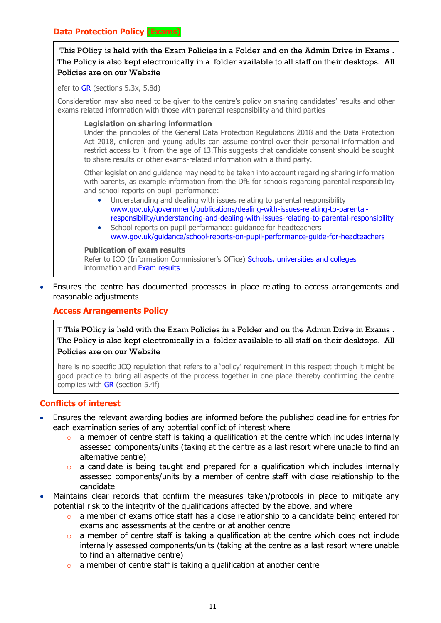#### <span id="page-10-0"></span>**Data Protection Policy (Exams)**

This POlicy is held with the Exam Policies in a Folder and on the Admin Drive in Exams . The Policy is also kept electronically in a folder available to all staff on their desktops. All Policies are on our Website

efer to [GR](http://www.jcq.org.uk/exams-office/general-regulations) (sections 5.3x, 5.8d)

Consideration may also need to be given to the centre's policy on sharing candidates' results and other exams related information with those with parental responsibility and third parties

#### **Legislation on sharing information**

Under the principles of the General Data Protection Regulations 2018 and the Data Protection Act 2018, children and young adults can assume control over their personal information and restrict access to it from the age of 13.This suggests that candidate consent should be sought to share results or other exams-related information with a third party.

Other legislation and guidance may need to be taken into account regarding sharing information with parents, as example information from the DfE for schools regarding parental responsibility and school reports on pupil performance:

- Understanding and dealing with issues relating to parental responsibility [www.gov.uk/government/publications/dealing-with-issues-relating-to-parental](https://www.gov.uk/government/publications/dealing-with-issues-relating-to-parental-responsibility/understanding-and-dealing-with-issues-relating-to-parental-responsibility)[responsibility/understanding-and-dealing-with-issues-relating-to-parental-responsibility](https://www.gov.uk/government/publications/dealing-with-issues-relating-to-parental-responsibility/understanding-and-dealing-with-issues-relating-to-parental-responsibility)
- School reports on pupil performance: quidance for headteachers [www.gov.uk/guidance/school-reports-on-pupil-performance-guide-for-headteachers](https://www.gov.uk/guidance/school-reports-on-pupil-performance-guide-for-headteachers)

#### **Publication of exam results**

Refer to ICO (Information Commissioner's Office) [Schools, universities and colleges](https://ico.org.uk/your-data-matters/schools/) information and [Exam results](https://ico.org.uk/your-data-matters/schools/exam-results/)

<span id="page-10-1"></span> Ensures the centre has documented processes in place relating to access arrangements and reasonable adjustments

**Access Arrangements Policy**

T This POlicy is held with the Exam Policies in a Folder and on the Admin Drive in Exams . The Policy is also kept electronically in a folder available to all staff on their desktops. All Policies are on our Website

here is no specific JCQ regulation that refers to a 'policy' requirement in this respect though it might be good practice to bring all aspects of the process together in one place thereby confirming the centre complies with [GR](http://www.jcq.org.uk/exams-office/general-regulations) (section 5.4f)

#### <span id="page-10-2"></span>**Conflicts of interest**

- Ensures the relevant awarding bodies are informed before the published deadline for entries for each examination series of any potential conflict of interest where
	- o a member of centre staff is taking a qualification at the centre which includes internally assessed components/units (taking at the centre as a last resort where unable to find an alternative centre)
	- a candidate is being taught and prepared for a qualification which includes internally assessed components/units by a member of centre staff with close relationship to the candidate
- Maintains clear records that confirm the measures taken/protocols in place to mitigate any potential risk to the integrity of the qualifications affected by the above, and where
	- o a member of exams office staff has a close relationship to a candidate being entered for exams and assessments at the centre or at another centre
	- o a member of centre staff is taking a qualification at the centre which does not include internally assessed components/units (taking at the centre as a last resort where unable to find an alternative centre)
	- o a member of centre staff is taking a qualification at another centre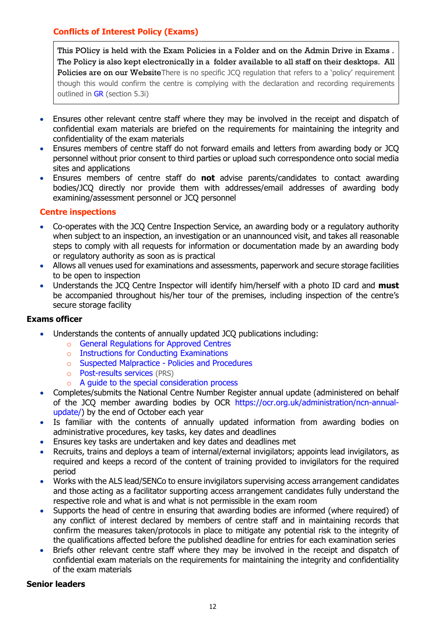# <span id="page-11-0"></span>**Conflicts of Interest Policy (Exams)**

This POlicy is held with the Exam Policies in a Folder and on the Admin Drive in Exams . The Policy is also kept electronically in a folder available to all staff on their desktops. All Policies are on our WebsiteThere is no specific JCO regulation that refers to a 'policy' requirement though this would confirm the centre is complying with the declaration and recording requirements outlined in [GR](http://www.jcq.org.uk/exams-office/general-regulations) (section 5.3i)

- Ensures other relevant centre staff where they may be involved in the receipt and dispatch of confidential exam materials are briefed on the requirements for maintaining the integrity and confidentiality of the exam materials
- Ensures members of centre staff do not forward emails and letters from awarding body or JCQ personnel without prior consent to third parties or upload such correspondence onto social media sites and applications
- Ensures members of centre staff do **not** advise parents/candidates to contact awarding bodies/JCQ directly nor provide them with addresses/email addresses of awarding body examining/assessment personnel or JCQ personnel

# <span id="page-11-1"></span>**Centre inspections**

- Co-operates with the JCQ Centre Inspection Service, an awarding body or a regulatory authority when subject to an inspection, an investigation or an unannounced visit, and takes all reasonable steps to comply with all requests for information or documentation made by an awarding body or regulatory authority as soon as is practical
- Allows all venues used for examinations and assessments, paperwork and secure storage facilities to be open to inspection
- Understands the JCQ Centre Inspector will identify him/herself with a photo ID card and **must**  be accompanied throughout his/her tour of the premises, including inspection of the centre's secure storage facility

# **Exams officer**

- Understands the contents of annually updated JCQ publications including:
	- o [General Regulations for Approved Centres](http://www.jcq.org.uk/exams-office/general-regulations)
	- o [Instructions for Conducting Examinations](http://www.jcq.org.uk/exams-office/ice---instructions-for-conducting-examinations)
	- o [Suspected Malpractice -](http://www.jcq.org.uk/exams-office/malpractice) Policies and Procedures
	- o [Post-results services](http://www.jcq.org.uk/exams-office/post-results-services) (PRS)
	- o [A guide to the special consideration process](https://www.jcq.org.uk/exams-office/access-arrangements-and-special-consideration/regulations-and-guidance/)
- Completes/submits the National Centre Number Register annual update (administered on behalf of the JCQ member awarding bodies by OCR [https://ocr.org.uk/administration/ncn-annual](https://ocr.org.uk/administration/ncn-annual-update/)[update/\)](https://ocr.org.uk/administration/ncn-annual-update/) by the end of October each year
- Is familiar with the contents of annually updated information from awarding bodies on administrative procedures, key tasks, key dates and deadlines
- Ensures key tasks are undertaken and key dates and deadlines met
- Recruits, trains and deploys a team of internal/external invigilators; appoints lead invigilators, as required and keeps a record of the content of training provided to invigilators for the required period
- Works with the ALS lead/SENCo to ensure invigilators supervising access arrangement candidates and those acting as a facilitator supporting access arrangement candidates fully understand the respective role and what is and what is not permissible in the exam room
- Supports the head of centre in ensuring that awarding bodies are informed (where required) of any conflict of interest declared by members of centre staff and in maintaining records that confirm the measures taken/protocols in place to mitigate any potential risk to the integrity of the qualifications affected before the published deadline for entries for each examination series
- Briefs other relevant centre staff where they may be involved in the receipt and dispatch of confidential exam materials on the requirements for maintaining the integrity and confidentiality of the exam materials

#### **Senior leaders**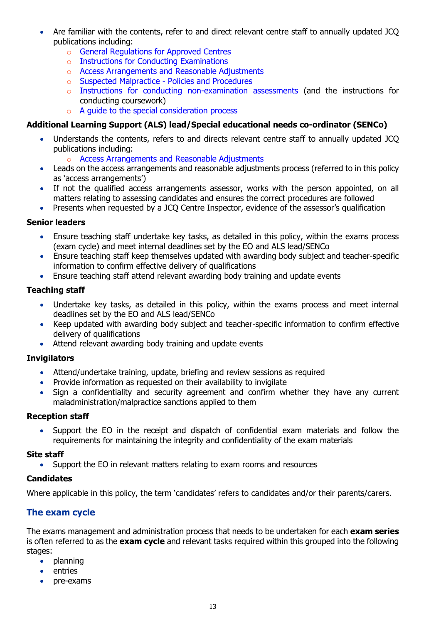- Are familiar with the contents, refer to and direct relevant centre staff to annually updated JCQ publications including:
	- o [General Regulations for Approved Centres](http://www.jcq.org.uk/exams-office/general-regulations)
	- o [Instructions for Conducting Examinations](http://www.jcq.org.uk/exams-office/ice---instructions-for-conducting-examinations)
	- o [Access Arrangements and Reasonable Adjustments](http://www.jcq.org.uk/exams-office/access-arrangements-and-special-consideration/regulations-and-guidance)
	- o [Suspected Malpractice -](http://www.jcq.org.uk/exams-office/malpractice) Policies and Procedures
	- o [Instructions for conducting non-examination assessments](http://www.jcq.org.uk/exams-office/non-examination-assessments) (and the instructions for conducting coursework)
	- o [A guide to the special consideration process](http://www.jcq.org.uk/exams-office/access-arrangements-and-special-consideration/regulations-and-guidance)

# **Additional Learning Support (ALS) lead/Special educational needs co-ordinator (SENCo)**

- Understands the contents, refers to and directs relevant centre staff to annually updated JCQ publications including:
	- o [Access Arrangements and Reasonable Adjustments](http://www.jcq.org.uk/exams-office/access-arrangements-and-special-consideration/regulations-and-guidance)
- Leads on the access arrangements and reasonable adjustments process (referred to in this policy as 'access arrangements')
- If not the qualified access arrangements assessor, works with the person appointed, on all matters relating to assessing candidates and ensures the correct procedures are followed
- Presents when requested by a JCQ Centre Inspector, evidence of the assessor's qualification

# **Senior leaders**

- Ensure teaching staff undertake key tasks, as detailed in this policy, within the exams process (exam cycle) and meet internal deadlines set by the EO and ALS lead/SENCo
- Ensure teaching staff keep themselves updated with awarding body subject and teacher-specific information to confirm effective delivery of qualifications
- Ensure teaching staff attend relevant awarding body training and update events

# **Teaching staff**

- Undertake key tasks, as detailed in this policy, within the exams process and meet internal deadlines set by the EO and ALS lead/SENCo
- Keep updated with awarding body subject and teacher-specific information to confirm effective delivery of qualifications
- Attend relevant awarding body training and update events

# **Invigilators**

- Attend/undertake training, update, briefing and review sessions as required
- Provide information as requested on their availability to invigilate
- Sign a confidentiality and security agreement and confirm whether they have any current maladministration/malpractice sanctions applied to them

# **Reception staff**

 Support the EO in the receipt and dispatch of confidential exam materials and follow the requirements for maintaining the integrity and confidentiality of the exam materials

# **Site staff**

Support the EO in relevant matters relating to exam rooms and resources

# **Candidates**

Where applicable in this policy, the term 'candidates' refers to candidates and/or their parents/carers.

# <span id="page-12-0"></span>**The exam cycle**

The exams management and administration process that needs to be undertaken for each **exam series** is often referred to as the **exam cycle** and relevant tasks required within this grouped into the following stages:

- planning
- entries
- pre-exams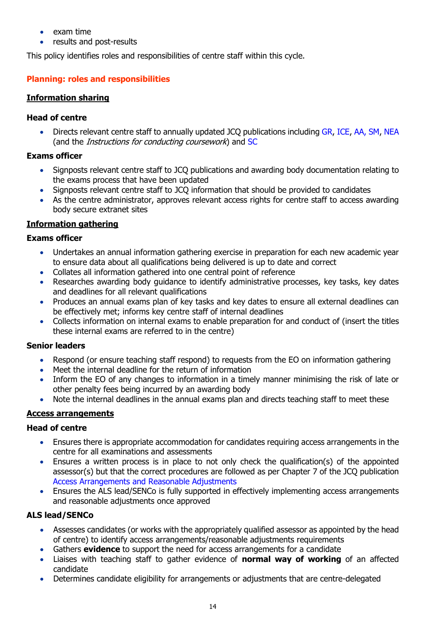- exam time
- results and post-results

<span id="page-13-0"></span>This policy identifies roles and responsibilities of centre staff within this cycle.

# **Planning: roles and responsibilities**

#### <span id="page-13-1"></span>**Information sharing**

#### **Head of centre**

 Directs relevant centre staff to annually updated JCQ publications including [GR,](http://www.jcq.org.uk/exams-office/general-regulations) [ICE,](http://www.jcq.org.uk/exams-office/ice---instructions-for-conducting-examinations) [AA,](http://www.jcq.org.uk/exams-office/access-arrangements-and-special-consideration) [SM,](http://www.jcq.org.uk/exams-office/malpractice) [NEA](http://www.jcq.org.uk/exams-office/non-examination-assessments) (and the Instructions for conducting coursework) and [SC](http://www.jcq.org.uk/exams-office/access-arrangements-and-special-consideration/regulations-and-guidance)

#### **Exams officer**

- Signposts relevant centre staff to JCQ publications and awarding body documentation relating to the exams process that have been updated
- Signposts relevant centre staff to JCQ information that should be provided to candidates
- As the centre administrator, approves relevant access rights for centre staff to access awarding body secure extranet sites

# <span id="page-13-2"></span>**Information gathering**

#### **Exams officer**

- Undertakes an annual information gathering exercise in preparation for each new academic year to ensure data about all qualifications being delivered is up to date and correct
- Collates all information gathered into one central point of reference
- Researches awarding body guidance to identify administrative processes, key tasks, key dates and deadlines for all relevant qualifications
- Produces an annual exams plan of key tasks and key dates to ensure all external deadlines can be effectively met; informs key centre staff of internal deadlines
- Collects information on internal exams to enable preparation for and conduct of (insert the titles these internal exams are referred to in the centre)

# **Senior leaders**

- Respond (or ensure teaching staff respond) to requests from the EO on information gathering
- Meet the internal deadline for the return of information
- Inform the EO of any changes to information in a timely manner minimising the risk of late or other penalty fees being incurred by an awarding body
- Note the internal deadlines in the annual exams plan and directs teaching staff to meet these

# <span id="page-13-3"></span>**Access arrangements**

# **Head of centre**

- Ensures there is appropriate accommodation for candidates requiring access arrangements in the centre for all examinations and assessments
- Ensures a written process is in place to not only check the qualification(s) of the appointed assessor(s) but that the correct procedures are followed as per Chapter 7 of the JCQ publication [Access Arrangements and Reasonable Adjustments](http://www.jcq.org.uk/exams-office/access-arrangements-and-special-consideration/regulations-and-guidance)
- Ensures the ALS lead/SENCo is fully supported in effectively implementing access arrangements and reasonable adjustments once approved

# **ALS lead/SENCo**

- Assesses candidates (or works with the appropriately qualified assessor as appointed by the head of centre) to identify access arrangements/reasonable adjustments requirements
- Gathers **evidence** to support the need for access arrangements for a candidate
- Liaises with teaching staff to gather evidence of **normal way of working** of an affected candidate
- Determines candidate eligibility for arrangements or adjustments that are centre-delegated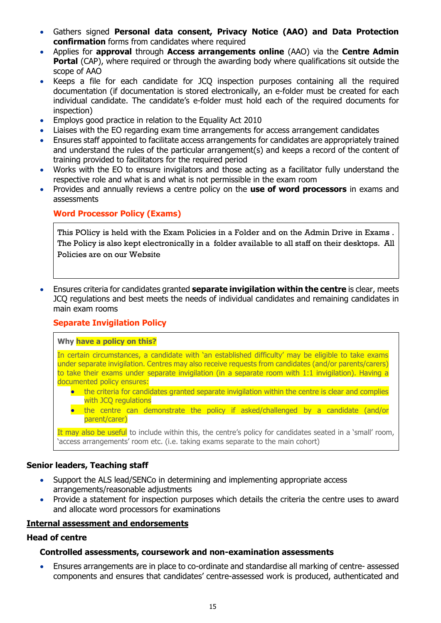- Gathers signed **Personal data consent, Privacy Notice (AAO) and Data Protection confirmation** forms from candidates where required
- Applies for **approval** through **Access arrangements online** (AAO) via the **Centre Admin Portal** (CAP), where required or through the awarding body where qualifications sit outside the scope of AAO
- Keeps a file for each candidate for JCQ inspection purposes containing all the required documentation (if documentation is stored electronically, an e-folder must be created for each individual candidate. The candidate's e-folder must hold each of the required documents for inspection)
- Employs good practice in relation to the Equality Act 2010
- Liaises with the EO regarding exam time arrangements for access arrangement candidates
- Ensures staff appointed to facilitate access arrangements for candidates are appropriately trained and understand the rules of the particular arrangement(s) and keeps a record of the content of training provided to facilitators for the required period
- Works with the EO to ensure invigilators and those acting as a facilitator fully understand the respective role and what is and what is not permissible in the exam room
- Provides and annually reviews a centre policy on the **use of word processors** in exams and assessments

# <span id="page-14-0"></span>**Word Processor Policy (Exams)**

This POlicy is held with the Exam Policies in a Folder and on the Admin Drive in Exams . The Policy is also kept electronically in a folder available to all staff on their desktops. All Policies are on our Website

 Ensures criteria for candidates granted **separate invigilation within the centre** is clear, meets JCQ regulations and best meets the needs of individual candidates and remaining candidates in main exam rooms

# <span id="page-14-1"></span>**Separate Invigilation Policy**

#### **Why have a policy on this?**

In certain circumstances, a candidate with 'an established difficulty' may be eligible to take exams under separate invigilation. Centres may also receive requests from candidates (and/or parents/carers) to take their exams under separate invigilation (in a separate room with 1:1 invigilation). Having a documented policy ensures:

- the criteria for candidates granted separate invigilation within the centre is clear and complies with JCQ regulations
- the centre can demonstrate the policy if asked/challenged by a candidate (and/or parent/carer)

It may also be useful to include within this, the centre's policy for candidates seated in a 'small' room, 'access arrangements' room etc. (i.e. taking exams separate to the main cohort)

#### **Senior leaders, Teaching staff**

- Support the ALS lead/SENCo in determining and implementing appropriate access arrangements/reasonable adjustments
- Provide a statement for inspection purposes which details the criteria the centre uses to award and allocate word processors for examinations

#### <span id="page-14-2"></span>**Internal assessment and endorsements**

#### **Head of centre**

#### **Controlled assessments, coursework and non-examination assessments**

 Ensures arrangements are in place to co-ordinate and standardise all marking of centre- assessed components and ensures that candidates' centre-assessed work is produced, authenticated and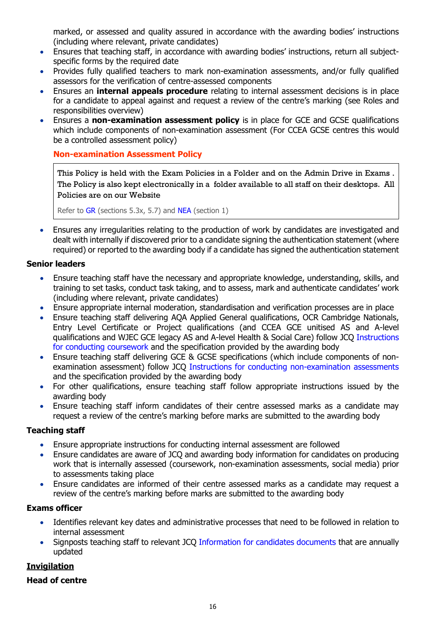marked, or assessed and quality assured in accordance with the awarding bodies' instructions (including where relevant, private candidates)

- Ensures that teaching staff, in accordance with awarding bodies' instructions, return all subjectspecific forms by the required date
- Provides fully qualified teachers to mark non-examination assessments, and/or fully qualified assessors for the verification of centre-assessed components
- Ensures an **internal appeals procedure** relating to internal assessment decisions is in place for a candidate to appeal against and request a review of the centre's marking (see Roles and responsibilities overview)
- Ensures a **non-examination assessment policy** is in place for GCE and GCSE qualifications which include components of non-examination assessment (For CCEA GCSE centres this would be a controlled assessment policy)

# <span id="page-15-0"></span>**Non-examination Assessment Policy**

This Policy is held with the Exam Policies in a Folder and on the Admin Drive in Exams . The Policy is also kept electronically in a folder available to all staff on their desktops. All Policies are on our Website

Refer to [GR](http://www.jcq.org.uk/exams-office/general-regulations) (sections 5.3x, 5.7) and [NEA](https://www.jcq.org.uk/exams-office/non-examination-assessments) (section 1)

 Ensures any irregularities relating to the production of work by candidates are investigated and dealt with internally if discovered prior to a candidate signing the authentication statement (where required) or reported to the awarding body if a candidate has signed the authentication statement

# **Senior leaders**

- Ensure teaching staff have the necessary and appropriate knowledge, understanding, skills, and training to set tasks, conduct task taking, and to assess, mark and authenticate candidates' work (including where relevant, private candidates)
- Ensure appropriate internal moderation, standardisation and verification processes are in place
- Ensure teaching staff delivering AQA Applied General qualifications, OCR Cambridge Nationals, Entry Level Certificate or Project qualifications (and CCEA GCE unitised AS and A-level qualifications and WJEC GCE legacy AS and A-level Health & Social Care) follow JCQ [Instructions](http://www.jcq.org.uk/exams-office/coursework)  [for conducting coursework](http://www.jcq.org.uk/exams-office/coursework) and the specification provided by the awarding body
- Ensure teaching staff delivering GCE & GCSE specifications (which include components of nonexamination assessment) follow JCQ [Instructions for conducting non-examination assessments](http://www.jcq.org.uk/exams-office/non-examination-assessments) and the specification provided by the awarding body
- For other qualifications, ensure teaching staff follow appropriate instructions issued by the awarding body
- Ensure teaching staff inform candidates of their centre assessed marks as a candidate may request a review of the centre's marking before marks are submitted to the awarding body

# **Teaching staff**

- Ensure appropriate instructions for conducting internal assessment are followed
- Ensure candidates are aware of JCQ and awarding body information for candidates on producing work that is internally assessed (coursework, non-examination assessments, social media) prior to assessments taking place
- Ensure candidates are informed of their centre assessed marks as a candidate may request a review of the centre's marking before marks are submitted to the awarding body

# **Exams officer**

- Identifies relevant key dates and administrative processes that need to be followed in relation to internal assessment
- Signposts teaching staff to relevant JCQ [Information for candidates documents](https://www.jcq.org.uk/exams-office/information-for-candidates-documents/) that are annually updated

# <span id="page-15-1"></span>**Invigilation**

# **Head of centre**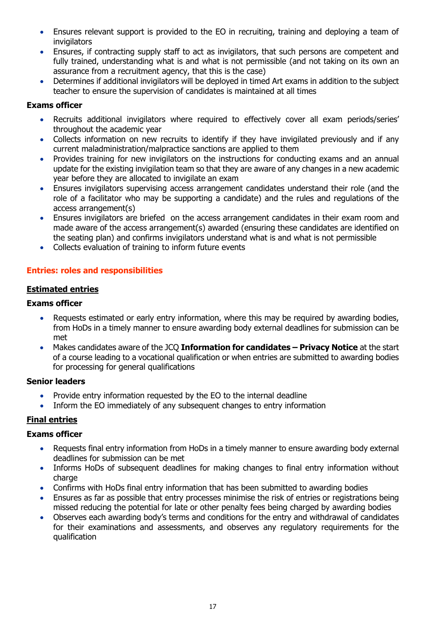- Ensures relevant support is provided to the EO in recruiting, training and deploying a team of **invigilators**
- Ensures, if contracting supply staff to act as invigilators, that such persons are competent and fully trained, understanding what is and what is not permissible (and not taking on its own an assurance from a recruitment agency, that this is the case)
- Determines if additional invigilators will be deployed in timed Art exams in addition to the subject teacher to ensure the supervision of candidates is maintained at all times

# **Exams officer**

- Recruits additional invigilators where required to effectively cover all exam periods/series' throughout the academic year
- Collects information on new recruits to identify if they have invigilated previously and if any current maladministration/malpractice sanctions are applied to them
- Provides training for new invigilators on the instructions for conducting exams and an annual update for the existing invigilation team so that they are aware of any changes in a new academic year before they are allocated to invigilate an exam
- Ensures invigilators supervising access arrangement candidates understand their role (and the role of a facilitator who may be supporting a candidate) and the rules and regulations of the access arrangement(s)
- Ensures invigilators are briefed on the access arrangement candidates in their exam room and made aware of the access arrangement(s) awarded (ensuring these candidates are identified on the seating plan) and confirms invigilators understand what is and what is not permissible
- Collects evaluation of training to inform future events

# <span id="page-16-0"></span>**Entries: roles and responsibilities**

# <span id="page-16-1"></span>**Estimated entries**

#### **Exams officer**

- Requests estimated or early entry information, where this may be required by awarding bodies, from HoDs in a timely manner to ensure awarding body external deadlines for submission can be met
- Makes candidates aware of the JCQ **Information for candidates – Privacy Notice** at the start of a course leading to a vocational qualification or when entries are submitted to awarding bodies for processing for general qualifications

#### **Senior leaders**

- Provide entry information requested by the EO to the internal deadline
- Inform the EO immediately of any subsequent changes to entry information

# <span id="page-16-2"></span>**Final entries**

# **Exams officer**

- Requests final entry information from HoDs in a timely manner to ensure awarding body external deadlines for submission can be met
- Informs HoDs of subsequent deadlines for making changes to final entry information without charge
- Confirms with HoDs final entry information that has been submitted to awarding bodies
- Ensures as far as possible that entry processes minimise the risk of entries or registrations being missed reducing the potential for late or other penalty fees being charged by awarding bodies
- Observes each awarding body's terms and conditions for the entry and withdrawal of candidates for their examinations and assessments, and observes any regulatory requirements for the qualification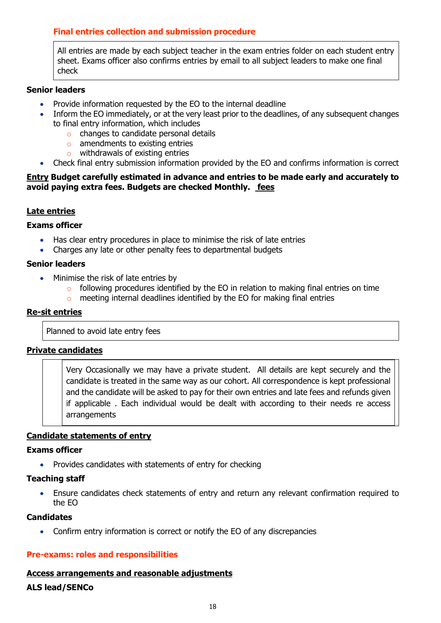# <span id="page-17-0"></span>**Final entries collection and submission procedure**

All entries are made by each subject teacher in the exam entries folder on each student entry sheet. Exams officer also confirms entries by email to all subject leaders to make one final check

#### **Senior leaders**

- Provide information requested by the EO to the internal deadline
- Inform the EO immediately, or at the very least prior to the deadlines, of any subsequent changes to final entry information, which includes
	- o changes to candidate personal details
	- o amendments to existing entries
	- o withdrawals of existing entries
- <span id="page-17-2"></span>Check final entry submission information provided by the EO and confirms information is correct

#### <span id="page-17-1"></span>**Entry Budget carefully estimated in advance and entries to be made early and accurately to avoid paying extra fees. Budgets are checked Monthly. fees**

# **Late entries**

#### **Exams officer**

- Has clear entry procedures in place to minimise the risk of late entries
- Charges any late or other penalty fees to departmental budgets

#### **Senior leaders**

- Minimise the risk of late entries by
	- o following procedures identified by the EO in relation to making final entries on time
	- o meeting internal deadlines identified by the EO for making final entries

#### <span id="page-17-3"></span>**Re-sit entries**

Planned to avoid late entry fees

# <span id="page-17-4"></span>**Private candidates**

Very Occasionally we may have a private student. All details are kept securely and the candidate is treated in the same way as our cohort. All correspondence is kept professional and the candidate will be asked to pay for their own entries and late fees and refunds given if applicable . Each individual would be dealt with according to their needs re access arrangements

# <span id="page-17-5"></span>**Candidate statements of entry**

#### **Exams officer**

• Provides candidates with statements of entry for checking

#### **Teaching staff**

 Ensure candidates check statements of entry and return any relevant confirmation required to the EO

#### **Candidates**

Confirm entry information is correct or notify the EO of any discrepancies

# <span id="page-17-6"></span>**Pre-exams: roles and responsibilities**

# <span id="page-17-7"></span>**Access arrangements and reasonable adjustments**

# **ALS lead/SENCo**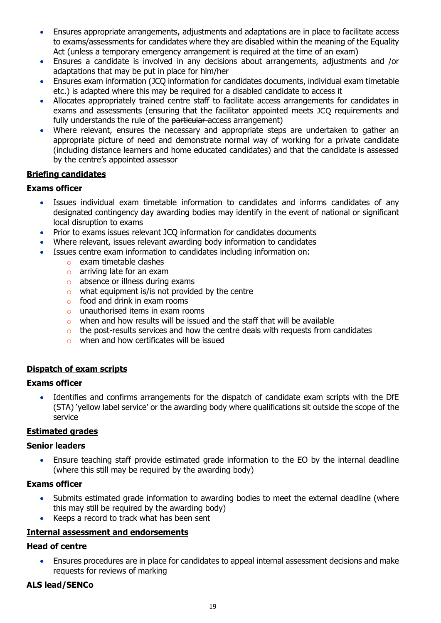- Ensures appropriate arrangements, adjustments and adaptations are in place to facilitate access to exams/assessments for candidates where they are disabled within the meaning of the Equality Act (unless a temporary emergency arrangement is required at the time of an exam)
- Ensures a candidate is involved in any decisions about arrangements, adjustments and /or adaptations that may be put in place for him/her
- Ensures exam information (JCQ information for candidates documents, individual exam timetable etc.) is adapted where this may be required for a disabled candidate to access it
- Allocates appropriately trained centre staff to facilitate access arrangements for candidates in exams and assessments (ensuring that the facilitator appointed meets JCQ requirements and fully understands the rule of the particular access arrangement)
- Where relevant, ensures the necessary and appropriate steps are undertaken to gather an appropriate picture of need and demonstrate normal way of working for a private candidate (including distance learners and home educated candidates) and that the candidate is assessed by the centre's appointed assessor

# <span id="page-18-0"></span>**Briefing candidates**

# **Exams officer**

- Issues individual exam timetable information to candidates and informs candidates of any designated contingency day awarding bodies may identify in the event of national or significant local disruption to exams
- Prior to exams issues relevant JCQ information for candidates documents
- Where relevant, issues relevant awarding body information to candidates
- Issues centre exam information to candidates including information on:
	- o exam timetable clashes
	- o arriving late for an exam
	- o absence or illness during exams
	- $\circ$  what equipment is/is not provided by the centre
	- $\circ$  food and drink in exam rooms
	- o unauthorised items in exam rooms
	- o when and how results will be issued and the staff that will be available
	- $\circ$  the post-results services and how the centre deals with requests from candidates
	- o when and how certificates will be issued

# <span id="page-18-1"></span>**Dispatch of exam scripts**

# **Exams officer**

 Identifies and confirms arrangements for the dispatch of candidate exam scripts with the DfE (STA) 'yellow label service' or the awarding body where qualifications sit outside the scope of the service

# <span id="page-18-2"></span>**Estimated grades**

# **Senior leaders**

 Ensure teaching staff provide estimated grade information to the EO by the internal deadline (where this still may be required by the awarding body)

# **Exams officer**

- Submits estimated grade information to awarding bodies to meet the external deadline (where this may still be required by the awarding body)
- Keeps a record to track what has been sent

# <span id="page-18-3"></span>**Internal assessment and endorsements**

# **Head of centre**

 Ensures procedures are in place for candidates to appeal internal assessment decisions and make requests for reviews of marking

# **ALS lead/SENCo**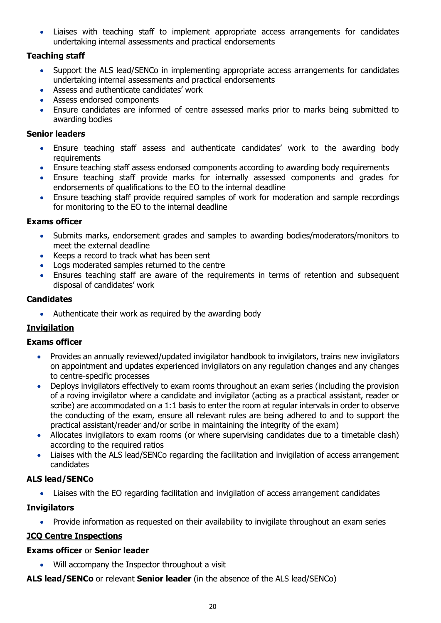Liaises with teaching staff to implement appropriate access arrangements for candidates undertaking internal assessments and practical endorsements

# **Teaching staff**

- Support the ALS lead/SENCo in implementing appropriate access arrangements for candidates undertaking internal assessments and practical endorsements
- Assess and authenticate candidates' work
- Assess endorsed components
- Ensure candidates are informed of centre assessed marks prior to marks being submitted to awarding bodies

# **Senior leaders**

- Ensure teaching staff assess and authenticate candidates' work to the awarding body requirements
- Ensure teaching staff assess endorsed components according to awarding body requirements
- Ensure teaching staff provide marks for internally assessed components and grades for endorsements of qualifications to the EO to the internal deadline
- Ensure teaching staff provide required samples of work for moderation and sample recordings for monitoring to the EO to the internal deadline

# **Exams officer**

- Submits marks, endorsement grades and samples to awarding bodies/moderators/monitors to meet the external deadline
- Keeps a record to track what has been sent
- Logs moderated samples returned to the centre
- Ensures teaching staff are aware of the requirements in terms of retention and subsequent disposal of candidates' work

# **Candidates**

• Authenticate their work as required by the awarding body

# <span id="page-19-0"></span>**Invigilation**

# **Exams officer**

- Provides an annually reviewed/updated invigilator handbook to invigilators, trains new invigilators on appointment and updates experienced invigilators on any regulation changes and any changes to centre-specific processes
- Deploys invigilators effectively to exam rooms throughout an exam series (including the provision of a roving invigilator where a candidate and invigilator (acting as a practical assistant, reader or scribe) are accommodated on a 1:1 basis to enter the room at regular intervals in order to observe the conducting of the exam, ensure all relevant rules are being adhered to and to support the practical assistant/reader and/or scribe in maintaining the integrity of the exam)
- Allocates invigilators to exam rooms (or where supervising candidates due to a timetable clash) according to the required ratios
- Liaises with the ALS lead/SENCo regarding the facilitation and invigilation of access arrangement candidates

# **ALS lead/SENCo**

Liaises with the EO regarding facilitation and invigilation of access arrangement candidates

# **Invigilators**

• Provide information as requested on their availability to invigilate throughout an exam series

# <span id="page-19-1"></span>**JCQ Centre Inspections**

# **Exams officer** or **Senior leader**

Will accompany the Inspector throughout a visit

**ALS lead/SENCo** or relevant **Senior leader** (in the absence of the ALS lead/SENCo)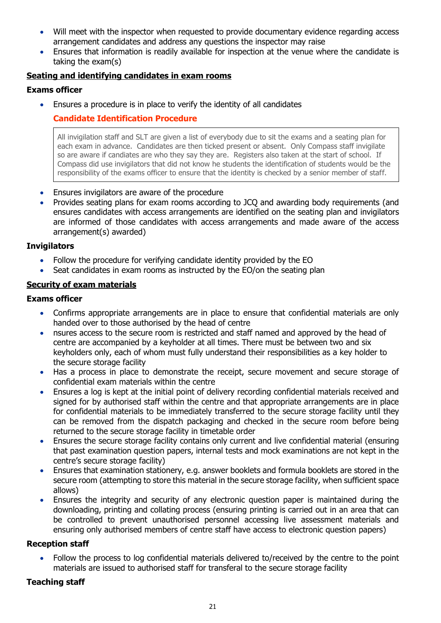- Will meet with the inspector when requested to provide documentary evidence regarding access arrangement candidates and address any questions the inspector may raise
- Ensures that information is readily available for inspection at the venue where the candidate is taking the exam(s)

# <span id="page-20-0"></span>**Seating and identifying candidates in exam rooms**

#### **Exams officer**

<span id="page-20-1"></span>Ensures a procedure is in place to verify the identity of all candidates

# **Candidate Identification Procedure**

All invigilation staff and SLT are given a list of everybody due to sit the exams and a seating plan for each exam in advance. Candidates are then ticked present or absent. Only Compass staff invigilate so are aware if candiates are who they say they are. Registers also taken at the start of school. If Compass did use invigilators that did not know he students the identification of students would be the responsibility of the exams officer to ensure that the identity is checked by a senior member of staff.

- Ensures invigilators are aware of the procedure
- Provides seating plans for exam rooms according to JCQ and awarding body requirements (and ensures candidates with access arrangements are identified on the seating plan and invigilators are informed of those candidates with access arrangements and made aware of the access arrangement(s) awarded)

#### **Invigilators**

- Follow the procedure for verifying candidate identity provided by the EO
- Seat candidates in exam rooms as instructed by the EO/on the seating plan

#### <span id="page-20-2"></span>**Security of exam materials**

#### **Exams officer**

- Confirms appropriate arrangements are in place to ensure that confidential materials are only handed over to those authorised by the head of centre
- nsures access to the secure room is restricted and staff named and approved by the head of centre are accompanied by a keyholder at all times. There must be between two and six keyholders only, each of whom must fully understand their responsibilities as a key holder to the secure storage facility
- Has a process in place to demonstrate the receipt, secure movement and secure storage of confidential exam materials within the centre
- Ensures a log is kept at the initial point of delivery recording confidential materials received and signed for by authorised staff within the centre and that appropriate arrangements are in place for confidential materials to be immediately transferred to the secure storage facility until they can be removed from the dispatch packaging and checked in the secure room before being returned to the secure storage facility in timetable order
- Ensures the secure storage facility contains only current and live confidential material (ensuring that past examination question papers, internal tests and mock examinations are not kept in the centre's secure storage facility)
- Ensures that examination stationery, e.g. answer booklets and formula booklets are stored in the secure room (attempting to store this material in the secure storage facility, when sufficient space allows)
- Ensures the integrity and security of any electronic question paper is maintained during the downloading, printing and collating process (ensuring printing is carried out in an area that can be controlled to prevent unauthorised personnel accessing live assessment materials and ensuring only authorised members of centre staff have access to electronic question papers)

#### **Reception staff**

 Follow the process to log confidential materials delivered to/received by the centre to the point materials are issued to authorised staff for transferal to the secure storage facility

# **Teaching staff**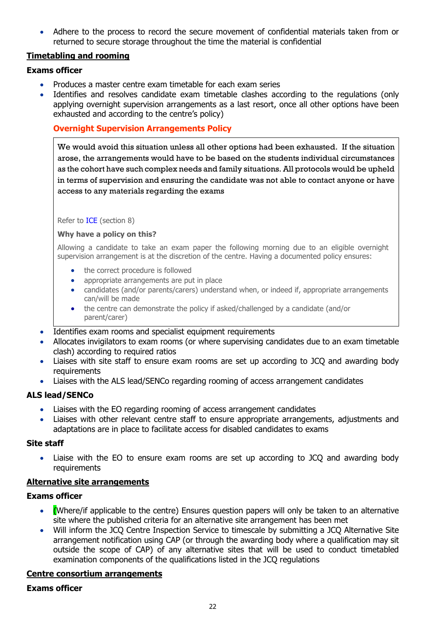Adhere to the process to record the secure movement of confidential materials taken from or returned to secure storage throughout the time the material is confidential

# <span id="page-21-0"></span>**Timetabling and rooming**

# **Exams officer**

- Produces a master centre exam timetable for each exam series
- Identifies and resolves candidate exam timetable clashes according to the regulations (only applying overnight supervision arrangements as a last resort, once all other options have been exhausted and according to the centre's policy)

# <span id="page-21-1"></span>**Overnight Supervision Arrangements Policy**

We would avoid this situation unless all other options had been exhausted. If the situation arose, the arrangements would have to be based on the students individual circumstances as the cohort have such complex needs and family situations. All protocols would be upheld in terms of supervision and ensuring the candidate was not able to contact anyone or have access to any materials regarding the exams

Refer to [ICE](http://www.jcq.org.uk/exams-office/ice---instructions-for-conducting-examinations) (section 8)

#### **Why have a policy on this?**

Allowing a candidate to take an exam paper the following morning due to an eligible overnight supervision arrangement is at the discretion of the centre. Having a documented policy ensures:

- the correct procedure is followed
- appropriate arrangements are put in place
- candidates (and/or parents/carers) understand when, or indeed if, appropriate arrangements can/will be made
- the centre can demonstrate the policy if asked/challenged by a candidate (and/or parent/carer)
- Identifies exam rooms and specialist equipment requirements
- Allocates invigilators to exam rooms (or where supervising candidates due to an exam timetable clash) according to required ratios
- Liaises with site staff to ensure exam rooms are set up according to JCQ and awarding body requirements
- Liaises with the ALS lead/SENCo regarding rooming of access arrangement candidates

# **ALS lead/SENCo**

- Liaises with the EO regarding rooming of access arrangement candidates
- Liaises with other relevant centre staff to ensure appropriate arrangements, adjustments and adaptations are in place to facilitate access for disabled candidates to exams

#### **Site staff**

• Liaise with the EO to ensure exam rooms are set up according to JCO and awarding body requirements

#### <span id="page-21-2"></span>**Alternative site arrangements**

#### **Exams officer**

- (Where/if applicable to the centre) Ensures question papers will only be taken to an alternative site where the published criteria for an alternative site arrangement has been met
- Will inform the JCQ Centre Inspection Service to timescale by submitting a JCQ Alternative Site arrangement notification using CAP (or through the awarding body where a qualification may sit outside the scope of CAP) of any alternative sites that will be used to conduct timetabled examination components of the qualifications listed in the JCQ regulations

#### <span id="page-21-3"></span>**Centre consortium arrangements**

#### **Exams officer**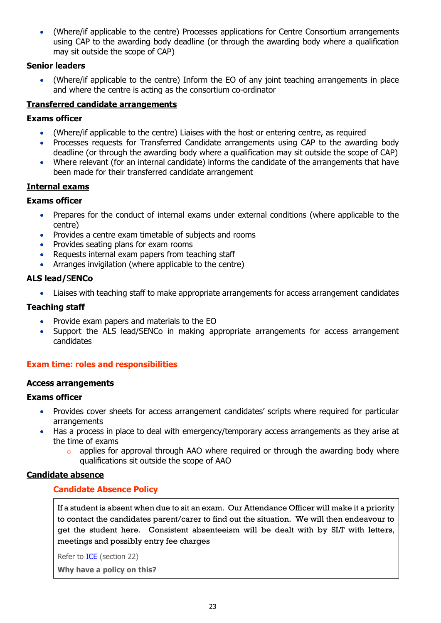(Where/if applicable to the centre) Processes applications for Centre Consortium arrangements using CAP to the awarding body deadline (or through the awarding body where a qualification may sit outside the scope of CAP)

#### **Senior leaders**

 (Where/if applicable to the centre) Inform the EO of any joint teaching arrangements in place and where the centre is acting as the consortium co-ordinator

#### <span id="page-22-0"></span>**Transferred candidate arrangements**

#### **Exams officer**

- (Where/if applicable to the centre) Liaises with the host or entering centre, as required
- Processes requests for Transferred Candidate arrangements using CAP to the awarding body deadline (or through the awarding body where a qualification may sit outside the scope of CAP)
- Where relevant (for an internal candidate) informs the candidate of the arrangements that have been made for their transferred candidate arrangement

#### <span id="page-22-1"></span>**Internal exams**

#### **Exams officer**

- Prepares for the conduct of internal exams under external conditions (where applicable to the centre)
- Provides a centre exam timetable of subjects and rooms
- Provides seating plans for exam rooms
- Requests internal exam papers from teaching staff
- Arranges invigilation (where applicable to the centre)

# **ALS lead/**S**ENCo**

Liaises with teaching staff to make appropriate arrangements for access arrangement candidates

#### **Teaching staff**

- Provide exam papers and materials to the EO
- Support the ALS lead/SENCo in making appropriate arrangements for access arrangement candidates

#### <span id="page-22-2"></span>**Exam time: roles and responsibilities**

#### <span id="page-22-3"></span>**Access arrangements**

#### **Exams officer**

- Provides cover sheets for access arrangement candidates' scripts where required for particular arrangements
- Has a process in place to deal with emergency/temporary access arrangements as they arise at the time of exams
	- o applies for approval through AAO where required or through the awarding body where qualifications sit outside the scope of AAO

#### <span id="page-22-5"></span><span id="page-22-4"></span>**Candidate absence**

#### **Candidate Absence Policy**

If a student is absent when due to sit an exam. Our Attendance Officer will make it a priority to contact the candidates parent/carer to find out the situation. We will then endeavour to get the student here. Consistent absenteeism will be dealt with by SLT with letters, meetings and possibly entry fee charges

Refer to [ICE](http://www.jcq.org.uk/exams-office/ice---instructions-for-conducting-examinations) (section 22)

**Why have a policy on this?**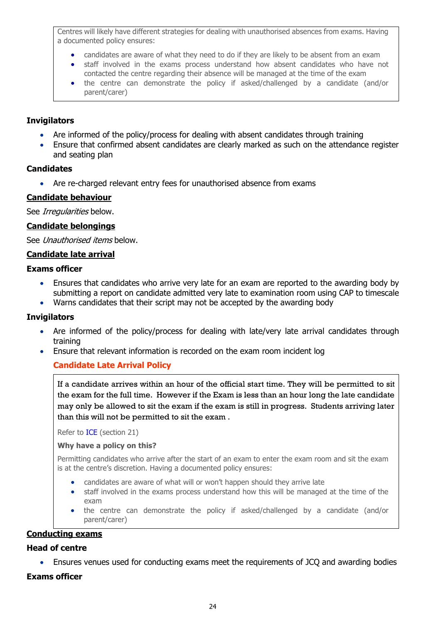Centres will likely have different strategies for dealing with unauthorised absences from exams. Having a documented policy ensures:

- candidates are aware of what they need to do if they are likely to be absent from an exam
- staff involved in the exams process understand how absent candidates who have not contacted the centre regarding their absence will be managed at the time of the exam
- the centre can demonstrate the policy if asked/challenged by a candidate (and/or parent/carer)

#### **Invigilators**

- Are informed of the policy/process for dealing with absent candidates through training
- Ensure that confirmed absent candidates are clearly marked as such on the attendance register and seating plan

#### **Candidates**

• Are re-charged relevant entry fees for unauthorised absence from exams

#### <span id="page-23-0"></span>**Candidate behaviour**

See Irregularities below.

#### <span id="page-23-1"></span>**Candidate belongings**

See Unauthorised items below.

#### <span id="page-23-2"></span>**Candidate late arrival**

#### **Exams officer**

- Ensures that candidates who arrive very late for an exam are reported to the awarding body by submitting a report on candidate admitted very late to examination room using CAP to timescale
- Warns candidates that their script may not be accepted by the awarding body

#### **Invigilators**

- Are informed of the policy/process for dealing with late/very late arrival candidates through training
- <span id="page-23-3"></span>Ensure that relevant information is recorded on the exam room incident log

# **Candidate Late Arrival Policy**

If a candidate arrives within an hour of the official start time. They will be permitted to sit the exam for the full time. However if the Exam is less than an hour long the late candidate may only be allowed to sit the exam if the exam is still in progress. Students arriving later than this will not be permitted to sit the exam .

Refer to [ICE](http://www.jcq.org.uk/exams-office/ice---instructions-for-conducting-examinations) (section 21)

#### **Why have a policy on this?**

Permitting candidates who arrive after the start of an exam to enter the exam room and sit the exam is at the centre's discretion. Having a documented policy ensures:

- candidates are aware of what will or won't happen should they arrive late
- staff involved in the exams process understand how this will be managed at the time of the exam
- the centre can demonstrate the policy if asked/challenged by a candidate (and/or parent/carer)

# <span id="page-23-4"></span>**Conducting exams**

#### **Head of centre**

Ensures venues used for conducting exams meet the requirements of JCQ and awarding bodies

#### **Exams officer**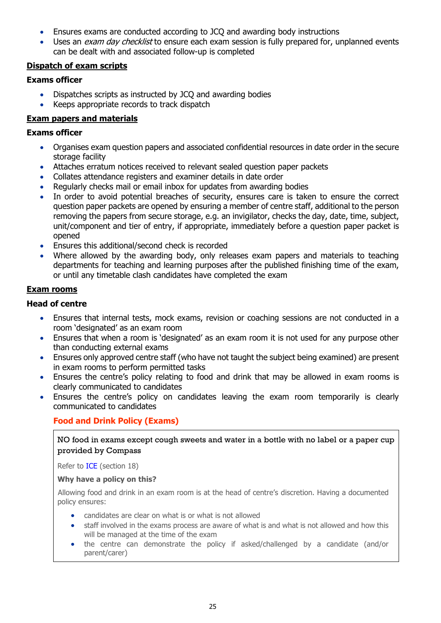- Ensures exams are conducted according to JCQ and awarding body instructions
- Uses an *exam day checklist* to ensure each exam session is fully prepared for, unplanned events can be dealt with and associated follow-up is completed

#### <span id="page-24-0"></span>**Dispatch of exam scripts**

#### **Exams officer**

- Dispatches scripts as instructed by JCQ and awarding bodies
- Keeps appropriate records to track dispatch

# <span id="page-24-1"></span>**Exam papers and materials**

#### **Exams officer**

- Organises exam question papers and associated confidential resources in date order in the secure storage facility
- Attaches erratum notices received to relevant sealed question paper packets
- Collates attendance registers and examiner details in date order
- Regularly checks mail or email inbox for updates from awarding bodies
- In order to avoid potential breaches of security, ensures care is taken to ensure the correct question paper packets are opened by ensuring a member of centre staff, additional to the person removing the papers from secure storage, e.g. an invigilator, checks the day, date, time, subject, unit/component and tier of entry, if appropriate, immediately before a question paper packet is opened
- **Ensures this additional/second check is recorded**
- Where allowed by the awarding body, only releases exam papers and materials to teaching departments for teaching and learning purposes after the published finishing time of the exam, or until any timetable clash candidates have completed the exam

#### <span id="page-24-2"></span>**Exam rooms**

# **Head of centre**

- Ensures that internal tests, mock exams, revision or coaching sessions are not conducted in a room 'designated' as an exam room
- Ensures that when a room is 'designated' as an exam room it is not used for any purpose other than conducting external exams
- Ensures only approved centre staff (who have not taught the subject being examined) are present in exam rooms to perform permitted tasks
- Ensures the centre's policy relating to food and drink that may be allowed in exam rooms is clearly communicated to candidates
- <span id="page-24-3"></span> Ensures the centre's policy on candidates leaving the exam room temporarily is clearly communicated to candidates

# **Food and Drink Policy (Exams)**

NO food in exams except cough sweets and water in a bottle with no label or a paper cup provided by Compass

Refer to [ICE](http://www.jcq.org.uk/exams-office/ice---instructions-for-conducting-examinations) (section 18)

#### **Why have a policy on this?**

Allowing food and drink in an exam room is at the head of centre's discretion. Having a documented policy ensures:

- candidates are clear on what is or what is not allowed
- staff involved in the exams process are aware of what is and what is not allowed and how this will be managed at the time of the exam
- the centre can demonstrate the policy if asked/challenged by a candidate (and/or parent/carer)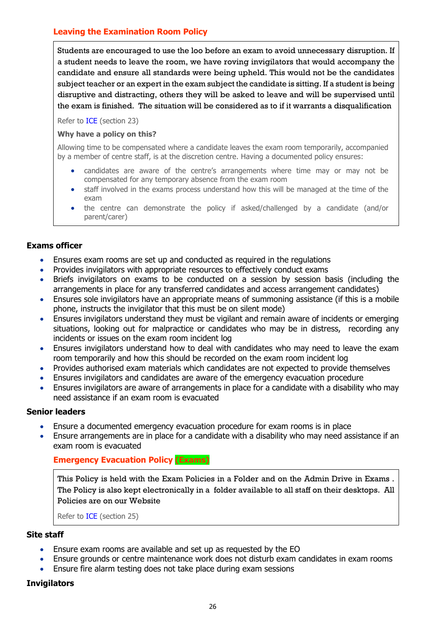# <span id="page-25-0"></span>**Leaving the Examination Room Policy**

Students are encouraged to use the loo before an exam to avoid unnecessary disruption. If a student needs to leave the room, we have roving invigilators that would accompany the candidate and ensure all standards were being upheld. This would not be the candidates subject teacher or an expert in the exam subject the candidate is sitting. If a student is being disruptive and distracting, others they will be asked to leave and will be supervised until the exam is finished. The situation will be considered as to if it warrants a disqualification

Refer to [ICE](http://www.jcq.org.uk/exams-office/ice---instructions-for-conducting-examinations) (section 23)

#### **Why have a policy on this?**

Allowing time to be compensated where a candidate leaves the exam room temporarily, accompanied by a member of centre staff, is at the discretion centre. Having a documented policy ensures:

- candidates are aware of the centre's arrangements where time may or may not be compensated for any temporary absence from the exam room
- staff involved in the exams process understand how this will be managed at the time of the exam
- the centre can demonstrate the policy if asked/challenged by a candidate (and/or parent/carer)

#### **Exams officer**

- Ensures exam rooms are set up and conducted as required in the regulations
- Provides invigilators with appropriate resources to effectively conduct exams
- Briefs invigilators on exams to be conducted on a session by session basis (including the arrangements in place for any transferred candidates and access arrangement candidates)
- Ensures sole invigilators have an appropriate means of summoning assistance (if this is a mobile phone, instructs the invigilator that this must be on silent mode)
- Ensures invigilators understand they must be vigilant and remain aware of incidents or emerging situations, looking out for malpractice or candidates who may be in distress, recording any incidents or issues on the exam room incident log
- Ensures invigilators understand how to deal with candidates who may need to leave the exam room temporarily and how this should be recorded on the exam room incident log
- Provides authorised exam materials which candidates are not expected to provide themselves
- Ensures invigilators and candidates are aware of the emergency evacuation procedure
- Ensures invigilators are aware of arrangements in place for a candidate with a disability who may need assistance if an exam room is evacuated

#### **Senior leaders**

- Ensure a documented emergency evacuation procedure for exam rooms is in place
- <span id="page-25-1"></span> Ensure arrangements are in place for a candidate with a disability who may need assistance if an exam room is evacuated

# **Emergency Evacuation Policy (Exams)**

This Policy is held with the Exam Policies in a Folder and on the Admin Drive in Exams . The Policy is also kept electronically in a folder available to all staff on their desktops. All Policies are on our Website

Refer to [ICE](http://www.jcq.org.uk/exams-office/ice---instructions-for-conducting-examinations) (section 25)

#### **Site staff**

- Ensure exam rooms are available and set up as requested by the EO
- Ensure grounds or centre maintenance work does not disturb exam candidates in exam rooms
- Ensure fire alarm testing does not take place during exam sessions

#### **Invigilators**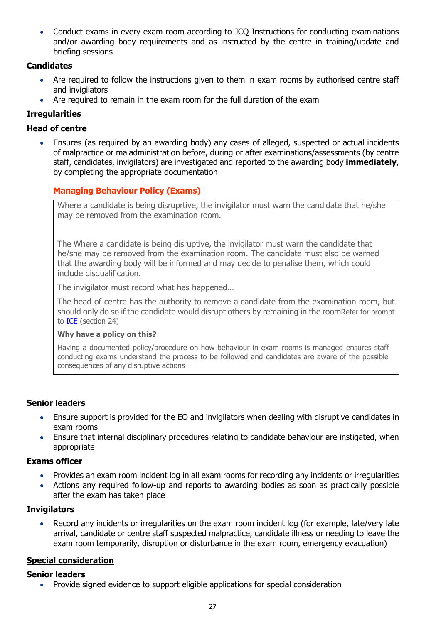Conduct exams in every exam room according to JCQ Instructions for conducting examinations and/or awarding body requirements and as instructed by the centre in training/update and briefing sessions

# **Candidates**

- Are required to follow the instructions given to them in exam rooms by authorised centre staff and invigilators
- Are required to remain in the exam room for the full duration of the exam

# <span id="page-26-0"></span>**Irregularities**

# **Head of centre**

 Ensures (as required by an awarding body) any cases of alleged, suspected or actual incidents of malpractice or maladministration before, during or after examinations/assessments (by centre staff, candidates, invigilators) are investigated and reported to the awarding body **immediately**, by completing the appropriate documentation

# <span id="page-26-1"></span>**Managing Behaviour Policy (Exams)**

Where a candidate is being disruprtive, the invigilator must warn the candidate that he/she may be removed from the examination room.

The Where a candidate is being disruptive, the invigilator must warn the candidate that he/she may be removed from the examination room. The candidate must also be warned that the awarding body will be informed and may decide to penalise them, which could include disqualification.

The invigilator must record what has happened…

The head of centre has the authority to remove a candidate from the examination room, but should only do so if the candidate would disrupt others by remaining in the roomRefer for prompt to [ICE](http://www.jcq.org.uk/exams-office/ice---instructions-for-conducting-examinations) (section 24)

#### **Why have a policy on this?**

Having a documented policy/procedure on how behaviour in exam rooms is managed ensures staff conducting exams understand the process to be followed and candidates are aware of the possible consequences of any disruptive actions

# **Senior leaders**

- Ensure support is provided for the EO and invigilators when dealing with disruptive candidates in exam rooms
- Ensure that internal disciplinary procedures relating to candidate behaviour are instigated, when appropriate

# **Exams officer**

- Provides an exam room incident log in all exam rooms for recording any incidents or irregularities
- Actions any required follow-up and reports to awarding bodies as soon as practically possible after the exam has taken place

# **Invigilators**

 Record any incidents or irregularities on the exam room incident log (for example, late/very late arrival, candidate or centre staff suspected malpractice, candidate illness or needing to leave the exam room temporarily, disruption or disturbance in the exam room, emergency evacuation)

# <span id="page-26-2"></span>**Special consideration**

# **Senior leaders**

• Provide signed evidence to support eligible applications for special consideration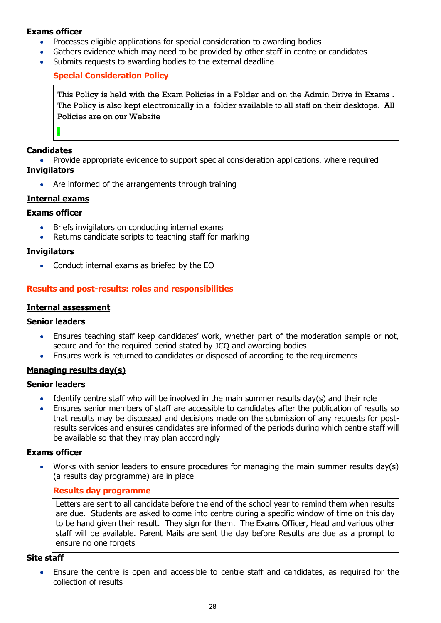#### **Exams officer**

- Processes eligible applications for special consideration to awarding bodies
- Gathers evidence which may need to be provided by other staff in centre or candidates
- <span id="page-27-0"></span>Submits requests to awarding bodies to the external deadline

# **Special Consideration Policy**

This Policy is held with the Exam Policies in a Folder and on the Admin Drive in Exams . The Policy is also kept electronically in a folder available to all staff on their desktops. All Policies are on our Website

#### **Candidates**

.

 Provide appropriate evidence to support special consideration applications, where required **Invigilators**

• Are informed of the arrangements through training

#### <span id="page-27-1"></span>**Internal exams**

#### **Exams officer**

- Briefs invigilators on conducting internal exams
- Returns candidate scripts to teaching staff for marking

#### **Invigilators**

• Conduct internal exams as briefed by the EO

# <span id="page-27-2"></span>**Results and post-results: roles and responsibilities**

#### <span id="page-27-3"></span>**Internal assessment**

#### **Senior leaders**

- Ensures teaching staff keep candidates' work, whether part of the moderation sample or not, secure and for the required period stated by JCQ and awarding bodies
- Ensures work is returned to candidates or disposed of according to the requirements

# <span id="page-27-4"></span>**Managing results day(s)**

#### **Senior leaders**

- Identify centre staff who will be involved in the main summer results day(s) and their role
- Ensures senior members of staff are accessible to candidates after the publication of results so that results may be discussed and decisions made on the submission of any requests for postresults services and ensures candidates are informed of the periods during which centre staff will be available so that they may plan accordingly

#### **Exams officer**

<span id="page-27-5"></span> Works with senior leaders to ensure procedures for managing the main summer results day(s) (a results day programme) are in place

#### **Results day programme**

Letters are sent to all candidate before the end of the school year to remind them when results are due. Students are asked to come into centre during a specific window of time on this day to be hand given their result. They sign for them. The Exams Officer, Head and various other staff will be available. Parent Mails are sent the day before Results are due as a prompt to ensure no one forgets

#### **Site staff**

 Ensure the centre is open and accessible to centre staff and candidates, as required for the collection of results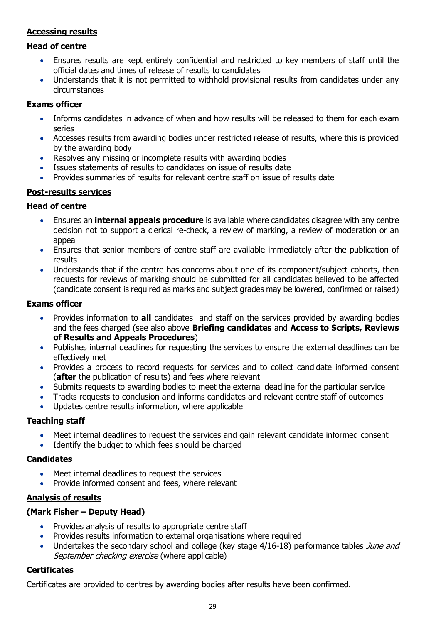# <span id="page-28-0"></span>**Accessing results**

#### **Head of centre**

- Ensures results are kept entirely confidential and restricted to key members of staff until the official dates and times of release of results to candidates
- Understands that it is not permitted to withhold provisional results from candidates under any circumstances

#### **Exams officer**

- Informs candidates in advance of when and how results will be released to them for each exam series
- Accesses results from awarding bodies under restricted release of results, where this is provided by the awarding body
- Resolves any missing or incomplete results with awarding bodies
- Issues statements of results to candidates on issue of results date
- Provides summaries of results for relevant centre staff on issue of results date

# <span id="page-28-1"></span>**Post-results services**

#### **Head of centre**

- Ensures an **internal appeals procedure** is available where candidates disagree with any centre decision not to support a clerical re-check, a review of marking, a review of moderation or an appeal
- Ensures that senior members of centre staff are available immediately after the publication of results
- Understands that if the centre has concerns about one of its component/subject cohorts, then requests for reviews of marking should be submitted for all candidates believed to be affected (candidate consent is required as marks and subject grades may be lowered, confirmed or raised)

#### **Exams officer**

- Provides information to **all** candidates and staff on the services provided by awarding bodies and the fees charged (see also above **Briefing candidates** and **Access to Scripts, Reviews of Results and Appeals Procedures**)
- Publishes internal deadlines for requesting the services to ensure the external deadlines can be effectively met
- Provides a process to record requests for services and to collect candidate informed consent (**after** the publication of results) and fees where relevant
- Submits requests to awarding bodies to meet the external deadline for the particular service
- Tracks requests to conclusion and informs candidates and relevant centre staff of outcomes
- Updates centre results information, where applicable

# **Teaching staff**

- Meet internal deadlines to request the services and gain relevant candidate informed consent
- Identify the budget to which fees should be charged

# **Candidates**

- Meet internal deadlines to request the services
- Provide informed consent and fees, where relevant

# <span id="page-28-2"></span>**Analysis of results**

#### **(Mark Fisher – Deputy Head)**

- Provides analysis of results to appropriate centre staff
- Provides results information to external organisations where required
- Undertakes the secondary school and college (key stage 4/16-18) performance tables June and September checking exercise (where applicable)

# <span id="page-28-3"></span>**Certificates**

Certificates are provided to centres by awarding bodies after results have been confirmed.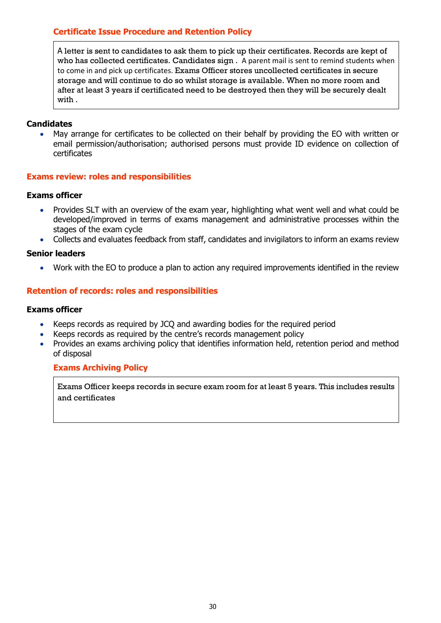# <span id="page-29-0"></span>**Certificate Issue Procedure and Retention Policy**

A letter is sent to candidates to ask them to pick up their certificates. Records are kept of who has collected certificates. Candidates sign . A parent mail is sent to remind students when to come in and pick up certificates. Exams Officer stores uncollected certificates in secure storage and will continue to do so whilst storage is available. When no more room and after at least 3 years if certificated need to be destroyed then they will be securely dealt with .

#### **Candidates**

 May arrange for certificates to be collected on their behalf by providing the EO with written or email permission/authorisation; authorised persons must provide ID evidence on collection of certificates

#### <span id="page-29-1"></span>**Exams review: roles and responsibilities**

#### **Exams officer**

- Provides SLT with an overview of the exam year, highlighting what went well and what could be developed/improved in terms of exams management and administrative processes within the stages of the exam cycle
- Collects and evaluates feedback from staff, candidates and invigilators to inform an exams review

#### **Senior leaders**

Work with the EO to produce a plan to action any required improvements identified in the review

#### <span id="page-29-2"></span>**Retention of records: roles and responsibilities**

#### **Exams officer**

- Keeps records as required by JCQ and awarding bodies for the required period
- Keeps records as required by the centre's records management policy
- <span id="page-29-3"></span> Provides an exams archiving policy that identifies information held, retention period and method of disposal

#### **Exams Archiving Policy**

Exams Officer keeps records in secure exam room for at least 5 years. This includes results and certificates